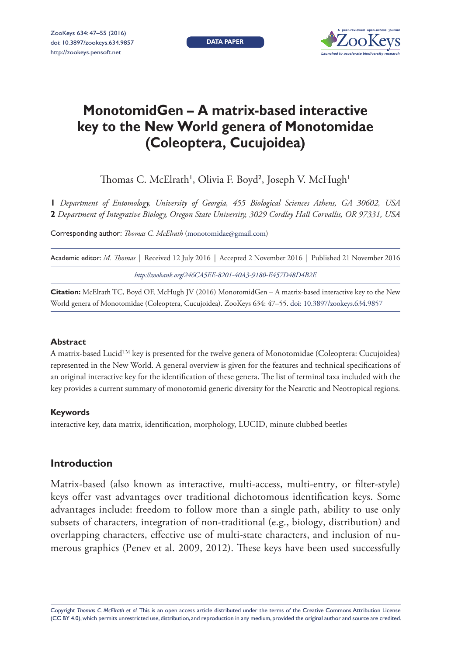**DATA PAPER**



# **MonotomidGen – A matrix-based interactive key to the New World genera of Monotomidae (Coleoptera, Cucujoidea)**

Thomas C. McElrath', Olivia F. Boyd<sup>2</sup>, Joseph V. McHugh'

**1** *Department of Entomology, University of Georgia, 455 Biological Sciences Athens, GA 30602, USA*  **2** *Department of Integrative Biology, Oregon State University, 3029 Cordley Hall Corvallis, OR 97331, USA*

Corresponding author: *Thomas C. McElrath* [\(monotomidae@gmail.com\)](mailto:monotomidae@gmail.com)

Academic editor: *M. Thomas* | Received 12 July 2016 | Accepted 2 November 2016 | Published 21 November 2016

*<http://zoobank.org/246CA5EE-8201-40A3-9180-E457D48D4B2E>*

**Citation:** McElrath TC, Boyd OF, McHugh JV (2016) MonotomidGen – A matrix-based interactive key to the New World genera of Monotomidae (Coleoptera, Cucujoidea). ZooKeys 634: 47–55. [doi: 10.3897/zookeys.634.9857](https://doi.org/10.3897/zookeys.634.9857)

## **Abstract**

A matrix-based LucidTM key is presented for the twelve genera of Monotomidae (Coleoptera: Cucujoidea) represented in the New World. A general overview is given for the features and technical specifications of an original interactive key for the identification of these genera. The list of terminal taxa included with the key provides a current summary of monotomid generic diversity for the Nearctic and Neotropical regions.

## **Keywords**

interactive key, data matrix, identification, morphology, LUCID, minute clubbed beetles

# **Introduction**

Matrix-based (also known as interactive, multi-access, multi-entry, or filter-style) keys offer vast advantages over traditional dichotomous identification keys. Some advantages include: freedom to follow more than a single path, ability to use only subsets of characters, integration of non-traditional (e.g., biology, distribution) and overlapping characters, effective use of multi-state characters, and inclusion of numerous graphics (Penev et al. 2009, 2012). These keys have been used successfully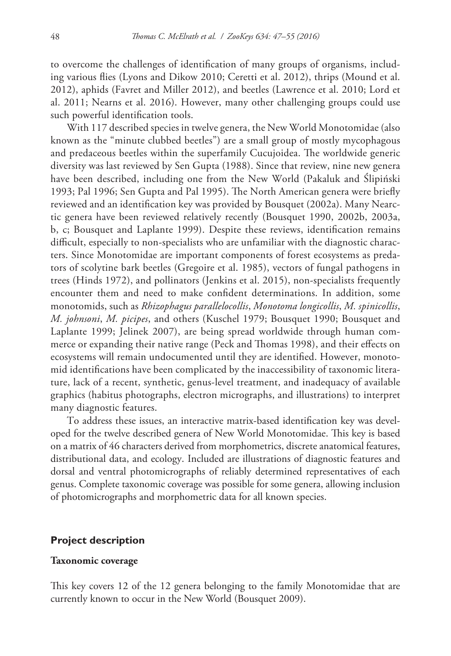to overcome the challenges of identification of many groups of organisms, including various flies (Lyons and Dikow 2010; Ceretti et al. 2012), thrips (Mound et al. 2012), aphids (Favret and Miller 2012), and beetles (Lawrence et al. 2010; Lord et al. 2011; Nearns et al. 2016). However, many other challenging groups could use such powerful identification tools.

With 117 described species in twelve genera, the New World Monotomidae (also known as the "minute clubbed beetles") are a small group of mostly mycophagous and predaceous beetles within the superfamily Cucujoidea. The worldwide generic diversity was last reviewed by Sen Gupta (1988). Since that review, nine new genera have been described, including one from the New World (Pakaluk and Ślipiński 1993; Pal 1996; Sen Gupta and Pal 1995). The North American genera were briefly reviewed and an identification key was provided by Bousquet (2002a). Many Nearctic genera have been reviewed relatively recently (Bousquet 1990, 2002b, 2003a, b, c; Bousquet and Laplante 1999). Despite these reviews, identification remains difficult, especially to non-specialists who are unfamiliar with the diagnostic characters. Since Monotomidae are important components of forest ecosystems as predators of scolytine bark beetles (Gregoire et al. 1985), vectors of fungal pathogens in trees (Hinds 1972), and pollinators (Jenkins et al. 2015), non-specialists frequently encounter them and need to make confident determinations. In addition, some monotomids, such as *Rhizophagus parallelocollis*, *Monotoma longicollis*, *M. spinicollis*, *M. johnsoni*, *M. picipes*, and others (Kuschel 1979; Bousquet 1990; Bousquet and Laplante 1999; Jelinek 2007), are being spread worldwide through human commerce or expanding their native range (Peck and Thomas 1998), and their effects on ecosystems will remain undocumented until they are identified. However, monotomid identifications have been complicated by the inaccessibility of taxonomic literature, lack of a recent, synthetic, genus-level treatment, and inadequacy of available graphics (habitus photographs, electron micrographs, and illustrations) to interpret many diagnostic features.

To address these issues, an interactive matrix-based identification key was developed for the twelve described genera of New World Monotomidae. This key is based on a matrix of 46 characters derived from morphometrics, discrete anatomical features, distributional data, and ecology. Included are illustrations of diagnostic features and dorsal and ventral photomicrographs of reliably determined representatives of each genus. Complete taxonomic coverage was possible for some genera, allowing inclusion of photomicrographs and morphometric data for all known species.

## **Project description**

#### **Taxonomic coverage**

This key covers 12 of the 12 genera belonging to the family Monotomidae that are currently known to occur in the New World (Bousquet 2009).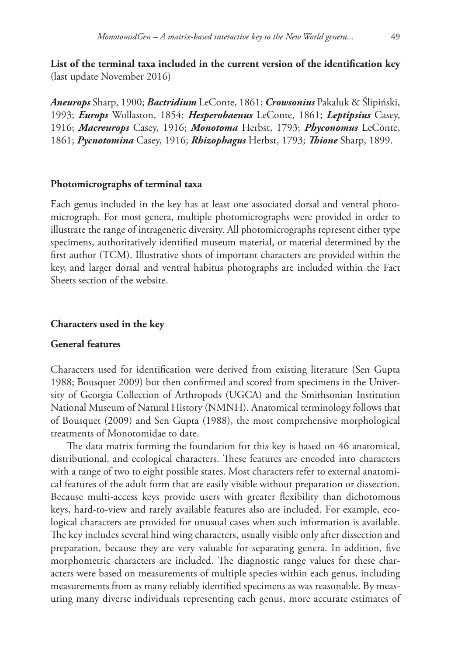**List of the terminal taxa included in the current version of the identification key**  (last update November 2016)

*Aneurops* Sharp, 1900; *Bactridium* LeConte, 1861; *Crowsonius* Pakaluk & Ślipiński, 1993; *Europs* Wollaston, 1854; *Hesperobaenus* LeConte, 1861; *Leptipsius* Casey, 1916; *Macreurops* Casey, 1916; *Monotoma* Herbst, 1793; *Phyconomus* LeConte, 1861; *Pycnotomina* Casey, 1916; *Rhizophagus* Herbst, 1793; *Thione* Sharp, 1899.

# **Photomicrographs of terminal taxa**

Each genus included in the key has at least one associated dorsal and ventral photomicrograph. For most genera, multiple photomicrographs were provided in order to illustrate the range of intrageneric diversity. All photomicrographs represent either type specimens, authoritatively identified museum material, or material determined by the first author (TCM). Illustrative shots of important characters are provided within the key, and larger dorsal and ventral habitus photographs are included within the Fact Sheets section of the website.

### **Characters used in the key**

# **General features**

Characters used for identification were derived from existing literature (Sen Gupta 1988; Bousquet 2009) but then confirmed and scored from specimens in the University of Georgia Collection of Arthropods (UGCA) and the Smithsonian Institution National Museum of Natural History (NMNH). Anatomical terminology follows that of Bousquet (2009) and Sen Gupta (1988), the most comprehensive morphological treatments of Monotomidae to date.

The data matrix forming the foundation for this key is based on 46 anatomical, distributional, and ecological characters. These features are encoded into characters with a range of two to eight possible states. Most characters refer to external anatomical features of the adult form that are easily visible without preparation or dissection. Because multi-access keys provide users with greater flexibility than dichotomous keys, hard-to-view and rarely available features also are included. For example, ecological characters are provided for unusual cases when such information is available. The key includes several hind wing characters, usually visible only after dissection and preparation, because they are very valuable for separating genera. In addition, five morphometric characters are included. The diagnostic range values for these characters were based on measurements of multiple species within each genus, including measurements from as many reliably identified specimens as was reasonable. By measuring many diverse individuals representing each genus, more accurate estimates of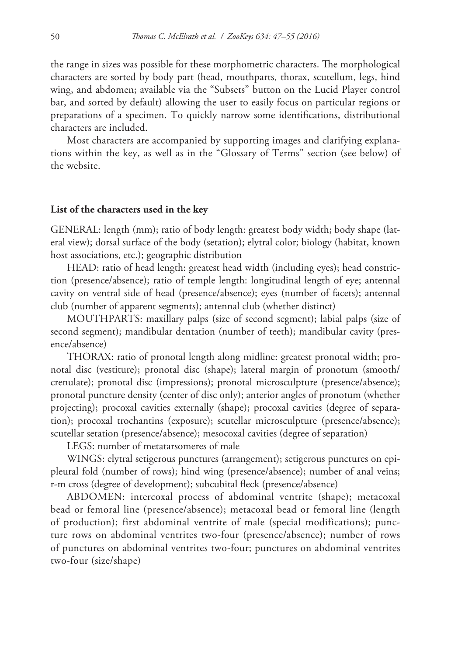the range in sizes was possible for these morphometric characters. The morphological characters are sorted by body part (head, mouthparts, thorax, scutellum, legs, hind wing, and abdomen; available via the "Subsets" button on the Lucid Player control bar, and sorted by default) allowing the user to easily focus on particular regions or preparations of a specimen. To quickly narrow some identifications, distributional characters are included.

Most characters are accompanied by supporting images and clarifying explanations within the key, as well as in the "Glossary of Terms" section (see below) of the website.

#### **List of the characters used in the key**

GENERAL: length (mm); ratio of body length: greatest body width; body shape (lateral view); dorsal surface of the body (setation); elytral color; biology (habitat, known host associations, etc.); geographic distribution

HEAD: ratio of head length: greatest head width (including eyes); head constriction (presence/absence); ratio of temple length: longitudinal length of eye; antennal cavity on ventral side of head (presence/absence); eyes (number of facets); antennal club (number of apparent segments); antennal club (whether distinct)

MOUTHPARTS: maxillary palps (size of second segment); labial palps (size of second segment); mandibular dentation (number of teeth); mandibular cavity (presence/absence)

THORAX: ratio of pronotal length along midline: greatest pronotal width; pronotal disc (vestiture); pronotal disc (shape); lateral margin of pronotum (smooth/ crenulate); pronotal disc (impressions); pronotal microsculpture (presence/absence); pronotal puncture density (center of disc only); anterior angles of pronotum (whether projecting); procoxal cavities externally (shape); procoxal cavities (degree of separation); procoxal trochantins (exposure); scutellar microsculpture (presence/absence); scutellar setation (presence/absence); mesocoxal cavities (degree of separation)

LEGS: number of metatarsomeres of male

WINGS: elytral setigerous punctures (arrangement); setigerous punctures on epipleural fold (number of rows); hind wing (presence/absence); number of anal veins; r-m cross (degree of development); subcubital fleck (presence/absence)

ABDOMEN: intercoxal process of abdominal ventrite (shape); metacoxal bead or femoral line (presence/absence); metacoxal bead or femoral line (length of production); first abdominal ventrite of male (special modifications); puncture rows on abdominal ventrites two-four (presence/absence); number of rows of punctures on abdominal ventrites two-four; punctures on abdominal ventrites two-four (size/shape)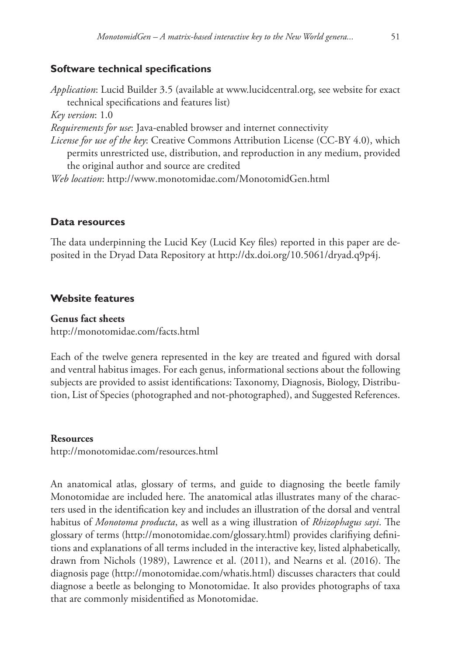# **Software technical specifications**

*Application*: Lucid Builder 3.5 (available at [www.lucidcentral.org](http://www.lucidcentral.org), see website for exact technical specifications and features list) *Key version*: 1.0 *Requirements for use*: Java-enabled browser and internet connectivity *License for use of the key*: Creative Commons Attribution License (CC-BY 4.0), which permits unrestricted use, distribution, and reproduction in any medium, provided the original author and source are credited *Web location*:<http://www.monotomidae.com/MonotomidGen.html>

# **Data resources**

The data underpinning the Lucid Key (Lucid Key files) reported in this paper are deposited in the Dryad Data Repository at<http://dx.doi.org/10.5061/dryad.q9p4j>.

# **Website features**

# **Genus fact sheets**

<http://monotomidae.com/facts.html>

Each of the twelve genera represented in the key are treated and figured with dorsal and ventral habitus images. For each genus, informational sections about the following subjects are provided to assist identifications: Taxonomy, Diagnosis, Biology, Distribution, List of Species (photographed and not-photographed), and Suggested References.

#### **Resources**

<http://monotomidae.com/resources.html>

An anatomical atlas, glossary of terms, and guide to diagnosing the beetle family Monotomidae are included here. The anatomical atlas illustrates many of the characters used in the identification key and includes an illustration of the dorsal and ventral habitus of *Monotoma producta*, as well as a wing illustration of *Rhizophagus sayi*. The glossary of terms ([http://monotomidae.com/glossary.html\)](http://monotomidae.com/glossary.html) provides clarifiying definitions and explanations of all terms included in the interactive key, listed alphabetically, drawn from Nichols (1989), Lawrence et al. (2011), and Nearns et al. (2016). The diagnosis page [\(http://monotomidae.com/whatis.html\)](http://monotomidae.com/whatis.html) discusses characters that could diagnose a beetle as belonging to Monotomidae. It also provides photographs of taxa that are commonly misidentified as Monotomidae.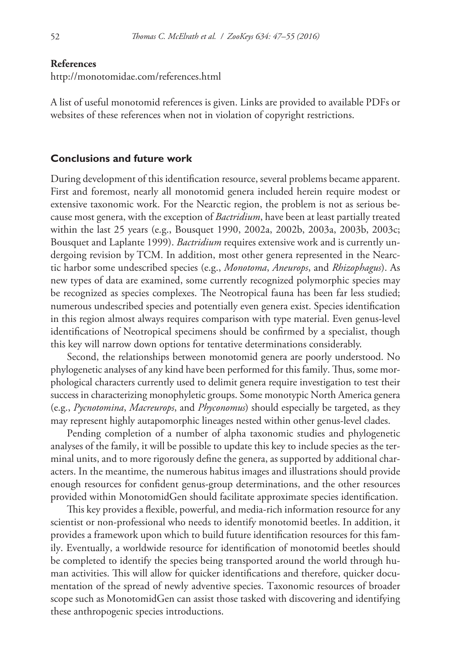#### **References**

<http://monotomidae.com/references.html>

A list of useful monotomid references is given. Links are provided to available PDFs or websites of these references when not in violation of copyright restrictions.

#### **Conclusions and future work**

During development of this identification resource, several problems became apparent. First and foremost, nearly all monotomid genera included herein require modest or extensive taxonomic work. For the Nearctic region, the problem is not as serious because most genera, with the exception of *Bactridium*, have been at least partially treated within the last 25 years (e.g., Bousquet 1990, 2002a, 2002b, 2003a, 2003b, 2003c; Bousquet and Laplante 1999). *Bactridium* requires extensive work and is currently undergoing revision by TCM. In addition, most other genera represented in the Nearctic harbor some undescribed species (e.g., *Monotoma*, *Aneurops*, and *Rhizophagus*). As new types of data are examined, some currently recognized polymorphic species may be recognized as species complexes. The Neotropical fauna has been far less studied; numerous undescribed species and potentially even genera exist. Species identification in this region almost always requires comparison with type material. Even genus-level identifications of Neotropical specimens should be confirmed by a specialist, though this key will narrow down options for tentative determinations considerably.

Second, the relationships between monotomid genera are poorly understood. No phylogenetic analyses of any kind have been performed for this family. Thus, some morphological characters currently used to delimit genera require investigation to test their success in characterizing monophyletic groups. Some monotypic North America genera (e.g., *Pycnotomina*, *Macreurops*, and *Phyconomus*) should especially be targeted, as they may represent highly autapomorphic lineages nested within other genus-level clades.

Pending completion of a number of alpha taxonomic studies and phylogenetic analyses of the family, it will be possible to update this key to include species as the terminal units, and to more rigorously define the genera, as supported by additional characters. In the meantime, the numerous habitus images and illustrations should provide enough resources for confident genus-group determinations, and the other resources provided within MonotomidGen should facilitate approximate species identification.

This key provides a flexible, powerful, and media-rich information resource for any scientist or non-professional who needs to identify monotomid beetles. In addition, it provides a framework upon which to build future identification resources for this family. Eventually, a worldwide resource for identification of monotomid beetles should be completed to identify the species being transported around the world through human activities. This will allow for quicker identifications and therefore, quicker documentation of the spread of newly adventive species. Taxonomic resources of broader scope such as MonotomidGen can assist those tasked with discovering and identifying these anthropogenic species introductions.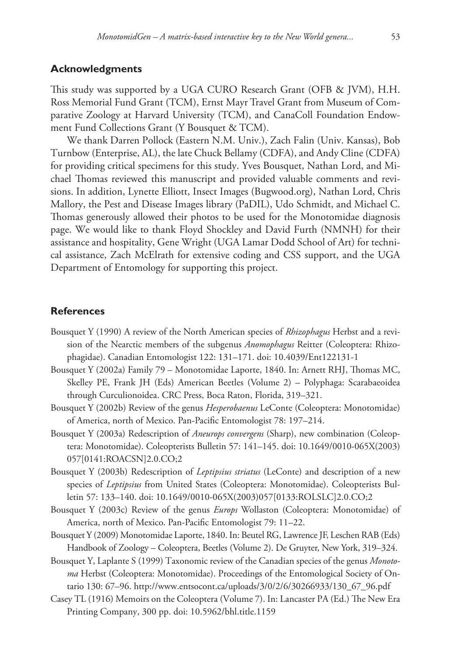# **Acknowledgments**

This study was supported by a UGA CURO Research Grant (OFB & JVM), H.H. Ross Memorial Fund Grant (TCM), Ernst Mayr Travel Grant from Museum of Comparative Zoology at Harvard University (TCM), and CanaColl Foundation Endowment Fund Collections Grant (Y Bousquet & TCM).

We thank Darren Pollock (Eastern N.M. Univ.), Zach Falin (Univ. Kansas), Bob Turnbow (Enterprise, AL), the late Chuck Bellamy (CDFA), and Andy Cline (CDFA) for providing critical specimens for this study. Yves Bousquet, Nathan Lord, and Michael Thomas reviewed this manuscript and provided valuable comments and revisions. In addition, Lynette Elliott, Insect Images (Bugwood.org), Nathan Lord, Chris Mallory, the Pest and Disease Images library (PaDIL), Udo Schmidt, and Michael C. Thomas generously allowed their photos to be used for the Monotomidae diagnosis page. We would like to thank Floyd Shockley and David Furth (NMNH) for their assistance and hospitality, Gene Wright (UGA Lamar Dodd School of Art) for technical assistance, Zach McElrath for extensive coding and CSS support, and the UGA Department of Entomology for supporting this project.

# **References**

- Bousquet Y (1990) A review of the North American species of *Rhizophagus* Herbst and a revision of the Nearctic members of the subgenus *Anomophagus* Reitter (Coleoptera: Rhizophagidae). Canadian Entomologist 122: 131–171. [doi: 10.4039/Ent122131-1](https://doi.org/10.4039/Ent122131-1)
- Bousquet Y (2002a) Family 79 Monotomidae Laporte, 1840. In: Arnett RHJ, Thomas MC, Skelley PE, Frank JH (Eds) American Beetles (Volume 2) – Polyphaga: Scarabaeoidea through Curculionoidea. CRC Press, Boca Raton, Florida, 319–321.
- Bousquet Y (2002b) Review of the genus *Hesperobaenus* LeConte (Coleoptera: Monotomidae) of America, north of Mexico. Pan-Pacific Entomologist 78: 197–214.
- Bousquet Y (2003a) Redescription of *Aneurops convergens* (Sharp), new combination (Coleoptera: Monotomidae). Coleopterists Bulletin 57: 141–145. [doi: 10.1649/0010-065X\(2003\)](https://doi.org/10.1649/0010-065X(2003)057%5B0141:ROACSN%5D2.0.CO;2) [057\[0141:ROACSN\]2.0.CO;2](https://doi.org/10.1649/0010-065X(2003)057%5B0141:ROACSN%5D2.0.CO;2)
- Bousquet Y (2003b) Redescription of *Leptipsius striatus* (LeConte) and description of a new species of *Leptipsius* from United States (Coleoptera: Monotomidae). Coleopterists Bulletin 57: 133–140. [doi: 10.1649/0010-065X\(2003\)057\[0133:ROLSLC\]2.0.CO;2](https://doi.org/10.1649/0010-065X(2003)057%5B0133:ROLSLC%5D2.0.CO;2)
- Bousquet Y (2003c) Review of the genus *Europs* Wollaston (Coleoptera: Monotomidae) of America, north of Mexico. Pan-Pacific Entomologist 79: 11–22.
- Bousquet Y (2009) Monotomidae Laporte, 1840. In: Beutel RG, Lawrence JF, Leschen RAB (Eds) Handbook of Zoology – Coleoptera, Beetles (Volume 2). De Gruyter, New York, 319–324.
- Bousquet Y, Laplante S (1999) Taxonomic review of the Canadian species of the genus *Monotoma* Herbst (Coleoptera: Monotomidae). Proceedings of the Entomological Society of Ontario 130: 67–96. [http://www.entsocont.ca/uploads/3/0/2/6/30266933/130\\_67\\_96.pdf](http://www.entsocont.ca/uploads/3/0/2/6/30266933/130_67_96.pdf)
- Casey TL (1916) Memoirs on the Coleoptera (Volume 7). In: Lancaster PA (Ed.) The New Era Printing Company, 300 pp. [doi: 10.5962/bhl.title.1159](https://doi.org/10.5962/bhl.title.1159)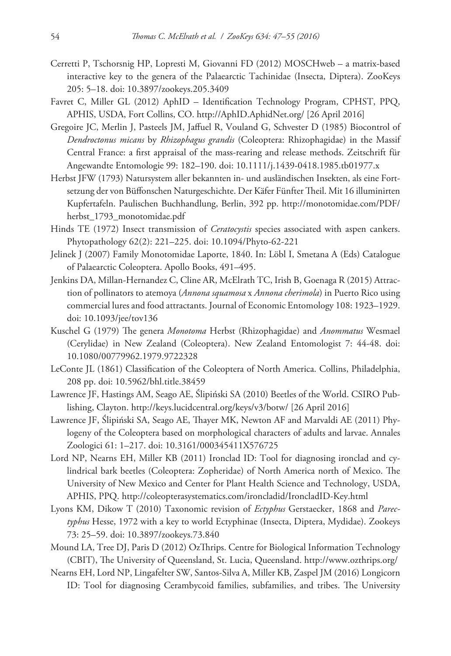- Cerretti P, Tschorsnig HP, Lopresti M, Giovanni FD (2012) MOSCHweb a matrix-based interactive key to the genera of the Palaearctic Tachinidae (Insecta, Diptera). ZooKeys 205: 5–18. [doi: 10.3897/zookeys.205.3409](https://doi.org/10.3897/zookeys.205.3409)
- Favret C, Miller GL (2012) AphID Identification Technology Program, CPHST, PPQ, APHIS, USDA, Fort Collins, CO.<http://AphID.AphidNet.org/> [26 April 2016]
- Gregoire JC, Merlin J, Pasteels JM, Jaffuel R, Vouland G, Schvester D (1985) Biocontrol of *Dendroctonus micans* by *Rhizophagus grandis* (Coleoptera: Rhizophagidae) in the Massif Central France: a first appraisal of the mass-rearing and release methods. Zeitschrift für Angewandte Entomologie 99: 182–190. [doi: 10.1111/j.1439-0418.1985.tb01977.x](https://doi.org/10.1111/j.1439-0418.1985.tb01977.x)
- Herbst JFW (1793) Natursystem aller bekannten in- und ausländischen Insekten, als eine Fortsetzung der von Büffonschen Naturgeschichte. Der Käfer Fünfter Theil. Mit 16 illuminirten Kupfertafeln. Paulischen Buchhandlung, Berlin, 392 pp. [http://monotomidae.com/PDF/](http://monotomidae.com/PDF/herbst_1793_monotomidae.pdf) [herbst\\_1793\\_monotomidae.pdf](http://monotomidae.com/PDF/herbst_1793_monotomidae.pdf)
- Hinds TE (1972) Insect transmission of *Ceratocystis* species associated with aspen cankers. Phytopathology 62(2): 221–225. [doi: 10.1094/Phyto-62-221](https://doi.org/10.1094/Phyto-62-221)
- Jelinek J (2007) Family Monotomidae Laporte, 1840. In: Löbl I, Smetana A (Eds) Catalogue of Palaearctic Coleoptera. Apollo Books, 491–495.
- Jenkins DA, Millan-Hernandez C, Cline AR, McElrath TC, Irish B, Goenaga R (2015) Attraction of pollinators to atemoya (*Annona squamosa* x *Annona cherimola*) in Puerto Rico using commercial lures and food attractants. Journal of Economic Entomology 108: 1923–1929. [doi: 10.1093/jee/tov136](https://doi.org/10.1093/jee/tov136)
- Kuschel G (1979) The genera *Monotoma* Herbst (Rhizophagidae) and *Anommatus* Wesmael (Cerylidae) in New Zealand (Coleoptera). New Zealand Entomologist 7: 44-48. [doi:](https://doi.org/10.1080/00779962.1979.9722328) [10.1080/00779962.1979.9722328](https://doi.org/10.1080/00779962.1979.9722328)
- LeConte JL (1861) Classification of the Coleoptera of North America. Collins, Philadelphia, 208 pp. [doi: 10.5962/bhl.title.38459](https://doi.org/10.5962/bhl.title.38459)
- Lawrence JF, Hastings AM, Seago AE, Ślipiński SA (2010) Beetles of the World. CSIRO Publishing, Clayton.<http://keys.lucidcentral.org/keys/v3/botw/> [26 April 2016]
- Lawrence JF, Ślipiński SA, Seago AE, Thayer MK, Newton AF and Marvaldi AE (2011) Phylogeny of the Coleoptera based on morphological characters of adults and larvae. Annales Zoologici 61: 1–217. [doi: 10.3161/000345411X576725](https://doi.org/10.3161/000345411X576725)
- Lord NP, Nearns EH, Miller KB (2011) Ironclad ID: Tool for diagnosing ironclad and cylindrical bark beetles (Coleoptera: Zopheridae) of North America north of Mexico. The University of New Mexico and Center for Plant Health Science and Technology, USDA, APHIS, PPQ.<http://coleopterasystematics.com/ironcladid/IroncladID-Key.html>
- Lyons KM, Dikow T (2010) Taxonomic revision of *Ectyphus* Gerstaecker, 1868 and *Parectyphus* Hesse, 1972 with a key to world Ectyphinae (Insecta, Diptera, Mydidae). Zookeys 73: 25–59. [doi: 10.3897/zookeys.73.840](https://doi.org/10.3897/zookeys.73.840)
- Mound LA, Tree DJ, Paris D (2012) OzThrips. Centre for Biological Information Technology (CBIT), The University of Queensland, St. Lucia, Queensland. <http://www.ozthrips.org/>
- Nearns EH, Lord NP, Lingafelter SW, Santos-Silva A, Miller KB, Zaspel JM (2016) Longicorn ID: Tool for diagnosing Cerambycoid families, subfamilies, and tribes. The University